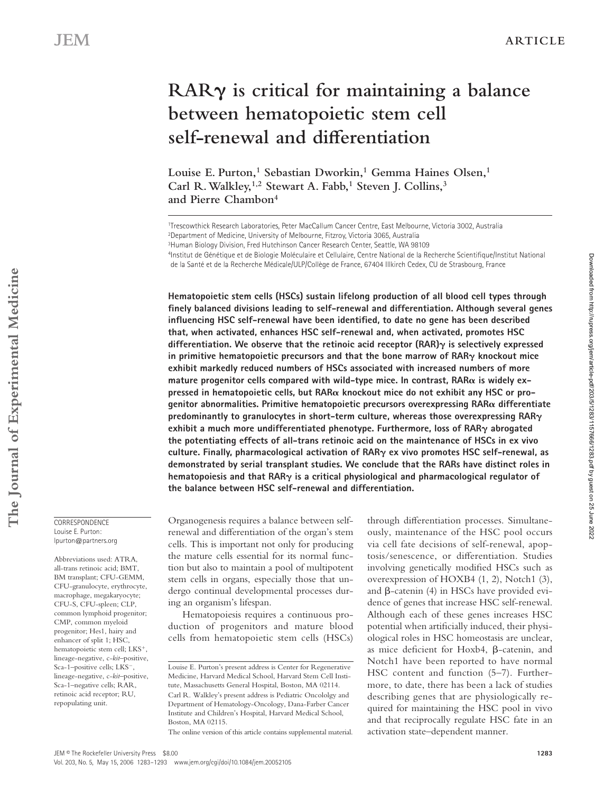# **RAR is critical for maintaining a balance between hematopoietic stem cell**  self-renewal and differentiation

Louise E. Purton,<sup>1</sup> Sebastian Dworkin,<sup>1</sup> Gemma Haines Olsen,<sup>1</sup> Carl R. Walkley,<sup>1,2</sup> Stewart A. Fabb,<sup>1</sup> Steven J. Collins,<sup>3</sup> **and Pierre Chambon4**

1Trescowthick Research Laboratories, Peter MacCallum Cancer Centre, East Melbourne, Victoria 3002, Australia 2Department of Medicine, University of Melbourne, Fitzroy, Victoria 3065, Australia 3Human Biology Division, Fred Hutchinson Cancer Research Center, Seattle, WA 98109 4Institut de Génétique et de Biologie Moléculaire et Cellulaire, Centre National de la Recherche Scientifique/Institut National de la Santé et de la Recherche Médicale/ULP/Collège de France, 67404 Illkirch Cedex, CU de Strasbourg, France

**Hematopoietic stem cells (HSCs) sustain lifelong production of all blood cell types through fi nely balanced divisions leading to self-renewal and differentiation. Although several genes**  influencing HSC self-renewal have been identified, to date no gene has been described **that, when activated, enhances HSC self-renewal and, when activated, promotes HSC differentiation. We observe that the retinoic acid receptor (RAR) is selectively expressed**  in primitive hematopoietic precursors and that the bone marrow of RAR<sub>Y</sub> knockout mice **exhibit markedly reduced numbers of HSCs associated with increased numbers of more**  mature progenitor cells compared with wild-type mice. In contrast, RAR<sub> $\alpha$ </sub> is widely ex**pressed in hematopoietic cells, but RAR knockout mice do not exhibit any HSC or progenitor abnormalities. Primitive hematopoietic precursors overexpressing RAR differentiate predominantly to granulocytes in short-term culture, whereas those overexpressing RAR exhibit a much more undifferentiated phenotype. Furthermore, loss of RARγ abrogated the potentiating effects of all-trans retinoic acid on the maintenance of HSCs in ex vivo culture. Finally, pharmacological activation of RAR ex vivo promotes HSC self-renewal, as demonstrated by serial transplant studies. We conclude that the RARs have distinct roles in hematopoiesis and that RAR is a critical physiological and pharmacological regulator of the balance between HSC self-renewal and differentiation.**

#### **CORRESPONDENCE** Louise E. Purton: lpurton@partners.org

**The Journal of Experimental Medicine**

The Journal of Experimental Medicine

Abbreviations used: ATRA, all-trans retinoic acid; BMT, BM transplant; CFU-GEMM, CFU-granulocyte, erythrocyte, macrophage, megakaryocyte; CFU-S, CFU-spleen; CLP, common lymphoid progenitor; CMP, common myeloid progenitor; Hes1, hairy and enhancer of split 1; HSC, hematopoietic stem cell; LKS<sup>+</sup>, lineage-negative, c-*kit*–positive, Sca-1–positive cells; LKS<sup>−</sup>, lineage-negative, c-*kit*–positive, Sca-1–negative cells; RAR, retinoic acid receptor; RU, repopulating unit.

Organogenesis requires a balance between selfrenewal and differentiation of the organ's stem cells. This is important not only for producing the mature cells essential for its normal function but also to maintain a pool of multipotent stem cells in organs, especially those that undergo continual developmental processes during an organism's lifespan.

Hematopoiesis requires a continuous production of progenitors and mature blood cells from hematopoietic stem cells (HSCs)

The online version of this article contains supplemental material.

through differentiation processes. Simultaneously, maintenance of the HSC pool occurs via cell fate decisions of self-renewal, apoptosis/senescence, or differentiation. Studies involving genetically modified HSCs such as overexpression of HOXB4 (1, 2), Notch1 (3), and β-catenin (4) in HSCs have provided evidence of genes that increase HSC self-renewal. Although each of these genes increases HSC potential when artificially induced, their physiological roles in HSC homeostasis are unclear, as mice deficient for Hoxb4,  $β$ -catenin, and Notch1 have been reported to have normal HSC content and function (5–7). Furthermore, to date, there has been a lack of studies describing genes that are physiologically required for maintaining the HSC pool in vivo and that reciprocally regulate HSC fate in an activation state–dependent manner.

Louise E. Purton's present address is Center for Regenerative Medicine, Harvard Medical School, Harvard Stem Cell Institute, Massachusetts General Hospital, Boston, MA 02114. Carl R. Walkley's present address is Pediatric Oncololgy and Department of Hematology-Oncology, Dana-Farber Cancer Institute and Children's Hospital, Harvard Medical School, Boston, MA 02115.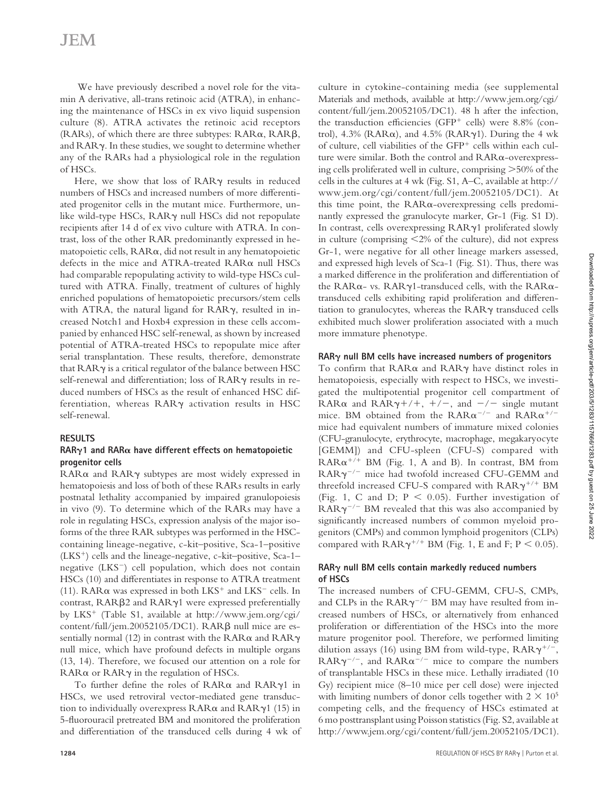# **JEM**

 We have previously described a novel role for the vitamin A derivative, all-trans retinoic acid (ATRA), in enhancing the maintenance of HSCs in ex vivo liquid suspension culture (8). ATRA activates the retinoic acid receptors (RARs), of which there are three subtypes:  $RAR\alpha$ ,  $RAR\beta$ , and RARγ. In these studies, we sought to determine whether any of the RARs had a physiological role in the regulation of HSCs.

Here, we show that loss of RARγ results in reduced numbers of HSCs and increased numbers of more differentiated progenitor cells in the mutant mice. Furthermore, unlike wild-type HSCs, RARγ null HSCs did not repopulate recipients after 14 d of ex vivo culture with ATRA. In contrast, loss of the other RAR predominantly expressed in hematopoietic cells,  $RAR\alpha$ , did not result in any hematopoietic defects in the mice and ATRA-treated RARα null HSCs had comparable repopulating activity to wild-type HSCs cultured with ATRA. Finally, treatment of cultures of highly enriched populations of hematopoietic precursors/stem cells with ATRA, the natural ligand for RARγ, resulted in increased Notch1 and Hoxb4 expression in these cells accompanied by enhanced HSC self-renewal, as shown by increased potential of ATRA-treated HSCs to repopulate mice after serial transplantation. These results, therefore, demonstrate that RARγ is a critical regulator of the balance between HSC self-renewal and differentiation; loss of RARγ results in reduced numbers of HSCs as the result of enhanced HSC differentiation, whereas RARγ activation results in HSC self-renewal.

## **RESULTS**

## **RAR1 and RAR have different effects on hematopoietic progenitor cells**

RARα and RARγ subtypes are most widely expressed in hematopoiesis and loss of both of these RARs results in early postnatal lethality accompanied by impaired granulopoiesis in vivo (9). To determine which of the RARs may have a role in regulating HSCs, expression analysis of the major isoforms of the three RAR subtypes was performed in the HSCcontaining lineage-negative, c-kit–positive, Sca-1–positive (LKS<sup>+</sup>) cells and the lineage-negative, c-kit–positive, Sca-1– negative (LKS<sup>−</sup>) cell population, which does not contain HSCs (10) and differentiates in response to ATRA treatment (11). RARα was expressed in both LKS<sup>+</sup> and LKS<sup>−</sup> cells. In contrast, RARβ2 and RARγ1 were expressed preferentially by LKS<sup>+</sup> (Table S1, available at http://www.jem.org/cgi/ content/full/jem.20052105/DC1). RARβ null mice are essentially normal (12) in contrast with the RARα and RARγ null mice, which have profound defects in multiple organs (13, 14). Therefore, we focused our attention on a role for RARα or RARγ in the regulation of HSCs.

To further define the roles of  $RAR\alpha$  and  $RAR\gamma1$  in HSCs, we used retroviral vector-mediated gene transduction to individually overexpress RARα and RARγ1 (15) in 5-fluorouracil pretreated BM and monitored the proliferation and differentiation of the transduced cells during 4 wk of culture in cytokine-containing media (see supplemental Materials and methods, available at http://www.jem.org/cgi/ content/full/jem.20052105/DC1). 48 h after the infection, the transduction efficiencies (GFP<sup>+</sup> cells) were 8.8% (control), 4.3% (RAR $\alpha$ ), and 4.5% (RAR $\gamma$ 1). During the 4 wk of culture, cell viabilities of the GFP<sup>+</sup> cells within each culture were similar. Both the control and RARα-overexpressing cells proliferated well in culture, comprising >50% of the cells in the cultures at 4 wk (Fig. S1, A–C, available at http:// www.jem.org/cgi/content/full/jem.20052105/DC1). At this time point, the  $RAR\alpha$ -overexpressing cells predominantly expressed the granulocyte marker, Gr-1 (Fig. S1 D). In contrast, cells overexpressing RARγ1 proliferated slowly in culture (comprising  $\leq 2\%$  of the culture), did not express Gr-1, were negative for all other lineage markers assessed, and expressed high levels of Sca-1 (Fig. S1). Thus, there was a marked difference in the proliferation and differentiation of the RAR $\alpha$ - vs. RAR $\gamma$ 1-transduced cells, with the RAR $\alpha$ transduced cells exhibiting rapid proliferation and differentiation to granulocytes, whereas the RARγ transduced cells exhibited much slower proliferation associated with a much more immature phenotype.

## **RAR null BM cells have increased numbers of progenitors**

To confirm that RARα and RARγ have distinct roles in hematopoiesis, especially with respect to HSCs, we investigated the multipotential progenitor cell compartment of RAR $\alpha$  and RAR $\gamma$ +/+, +/-, and -/- single mutant mice. BM obtained from the RAR $\alpha$ <sup>-/-</sup> and RAR $\alpha$ <sup>+/-</sup> mice had equivalent numbers of immature mixed colonies (CFU-granulocyte, erythrocyte, macrophage, megakaryocyte [GEMM]) and CFU-spleen (CFU-S) compared with  $RAR\alpha^{+/+}$  BM (Fig. 1, A and B). In contrast, BM from RARγ−/<sup>−</sup> mice had twofold increased CFU-GEMM and threefold increased CFU-S compared with  $RAR\gamma^{+/+}$  BM (Fig. 1, C and D;  $P < 0.05$ ). Further investigation of  $RAR\gamma^{-/-}$  BM revealed that this was also accompanied by significantly increased numbers of common myeloid progenitors (CMPs) and common lymphoid progenitors (CLPs) compared with  $\text{RAR}\gamma^{+/+}$  BM (Fig. 1, E and F; P < 0.05).

## **RAR null BM cells contain markedly reduced numbers of HSCs**

The increased numbers of CFU-GEMM, CFU-S, CMPs, and CLPs in the  $RAR\gamma^{-/-}$  BM may have resulted from increased numbers of HSCs, or alternatively from enhanced proliferation or differentiation of the HSCs into the more mature progenitor pool. Therefore, we performed limiting dilution assays (16) using BM from wild-type,  $\text{RAR}\gamma^{+/-}$ , RAR $\gamma^{-/-}$ , and RAR $\alpha^{-/-}$  mice to compare the numbers of transplantable HSCs in these mice. Lethally irradiated (10 Gy) recipient mice (8–10 mice per cell dose) were injected with limiting numbers of donor cells together with  $2 \times 10^5$ competing cells, and the frequency of HSCs estimated at 6 mo posttransplant using Poisson statistics (Fig. S2, available at http://www.jem.org/cgi/content/full/jem.20052105/DC1).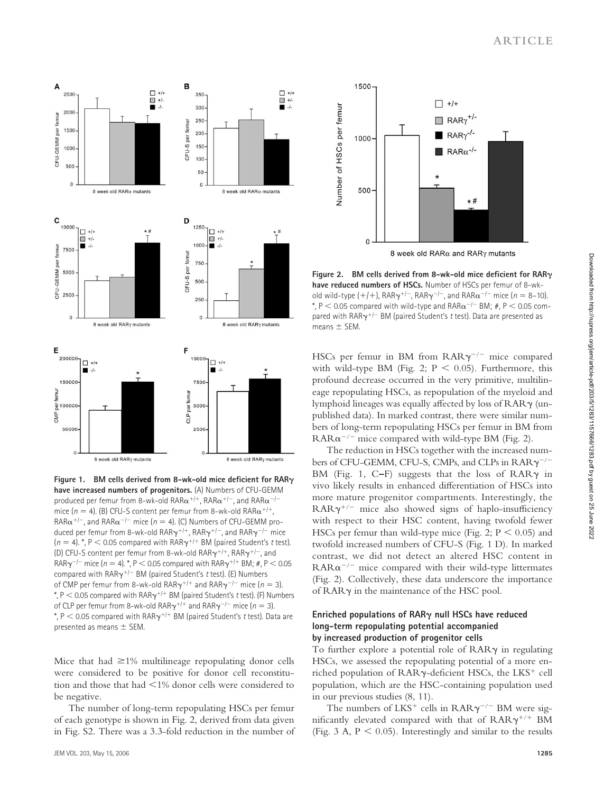

Figure 1. BM cells derived from 8-wk-old mice deficient for RAR<sub>Y</sub> **have increased numbers of progenitors.** (A) Numbers of CFU-GEMM produced per femur from 8-wk-old RAR $\alpha^{+/+}$ , RAR $\alpha^{+/-}$ , and RAR $\alpha^{-/-}$ mice ( $n = 4$ ). (B) CFU-S content per femur from 8-wk-old RAR $\alpha^{+/+}$ , RAR $\alpha^{+/-}$ , and RAR $\alpha^{-/-}$  mice (n = 4). (C) Numbers of CFU-GEMM produced per femur from 8-wk-old RAR $\gamma^{+/+}$ , RAR $\gamma^{+/-}$ , and RAR $\gamma^{-/-}$  mice  $(n = 4)$ . \*, P < 0.05 compared with RAR $\gamma^{+/+}$  BM (paired Student's t test). (D) CFU-S content per femur from 8-wk-old RAR $v^{+/+}$ , RAR $v^{+/-}$ , and RAR $\gamma^{-/-}$  mice (n = 4). \*, P < 0.05 compared with RAR $\gamma^{+/+}$  BM; #, P < 0.05 compared with  $RAR\gamma$ <sup>+/-</sup> BM (paired Student's t test). (E) Numbers of CMP per femur from 8-wk-old RAR $\gamma^{+/+}$  and RAR $\gamma^{-/-}$  mice (n = 3). \*, P  $\leq$  0.05 compared with RAR $\gamma^{+/+}$  BM (paired Student's t test). (F) Numbers of CLP per femur from 8-wk-old RAR $\gamma^{+/+}$  and RAR $\gamma^{-/-}$  mice ( $n = 3$ ). \*, P  $\leq$  0.05 compared with RAR $\gamma^{+/+}$  BM (paired Student's t test). Data are presented as means ± SEM.

Mice that had  $\geq$ 1% multilineage repopulating donor cells were considered to be positive for donor cell reconstitution and those that had <1% donor cells were considered to be negative.

The number of long-term repopulating HSCs per femur of each genotype is shown in Fig. 2, derived from data given in Fig. S2. There was a 3.3-fold reduction in the number of



8 week old RARa and RARy mutants

Figure 2. BM cells derived from 8-wk-old mice deficient for RAR<sub>Y</sub> **have reduced numbers of HSCs.** Number of HSCs per femur of 8-wkold wild-type  $(+/+)$ , RAR $\gamma^{+/-}$ , RAR $\gamma^{-/-}$ , and RAR $\alpha^{-/-}$  mice  $(n = 8-10)$ .  $^*$ , P < 0.05 compared with wild-type and RAR $\alpha$ <sup>-/-</sup> BM; #, P < 0.05 compared with RAR $\gamma^{+/}$  BM (paired Student's t test). Data are presented as  $means \pm SEM$ .

HSCs per femur in BM from RARγ<sup>-/-</sup> mice compared with wild-type BM (Fig. 2;  $P < 0.05$ ). Furthermore, this profound decrease occurred in the very primitive, multilineage repopulating HSCs, as repopulation of the myeloid and lymphoid lineages was equally affected by loss of RARγ (unpublished data). In marked contrast, there were similar numbers of long-term repopulating HSCs per femur in BM from  $RAR\alpha^{-/-}$  mice compared with wild-type BM (Fig. 2).

The reduction in HSCs together with the increased numbers of CFU-GEMM, CFU-S, CMPs, and CLPs in RARγ−/<sup>−</sup> BM (Fig. 1, C**–**F) suggests that the loss of RARγ in vivo likely results in enhanced differentiation of HSCs into more mature progenitor compartments. Interestingly, the  $RAR\gamma^{+/-}$  mice also showed signs of haplo-insufficiency with respect to their HSC content, having twofold fewer HSCs per femur than wild-type mice (Fig. 2;  $P < 0.05$ ) and twofold increased numbers of CFU-S (Fig. 1 D). In marked contrast, we did not detect an altered HSC content in  $RAR\alpha^{-/-}$  mice compared with their wild-type littermates (Fig. 2). Collectively, these data underscore the importance of RARγ in the maintenance of the HSC pool.

#### **Enriched populations of RAR null HSCs have reduced long-term repopulating potential accompanied by increased production of progenitor cells**

To further explore a potential role of RARγ in regulating HSCs, we assessed the repopulating potential of a more enriched population of  $RAR\gamma$ -deficient HSCs, the LKS<sup>+</sup> cell population, which are the HSC-containing population used in our previous studies (8, 11).

The numbers of LKS<sup>+</sup> cells in  $RAR\gamma^{-/-}$  BM were significantly elevated compared with that of  $RAR\gamma^{+/+}$  BM (Fig. 3 A,  $P < 0.05$ ). Interestingly and similar to the results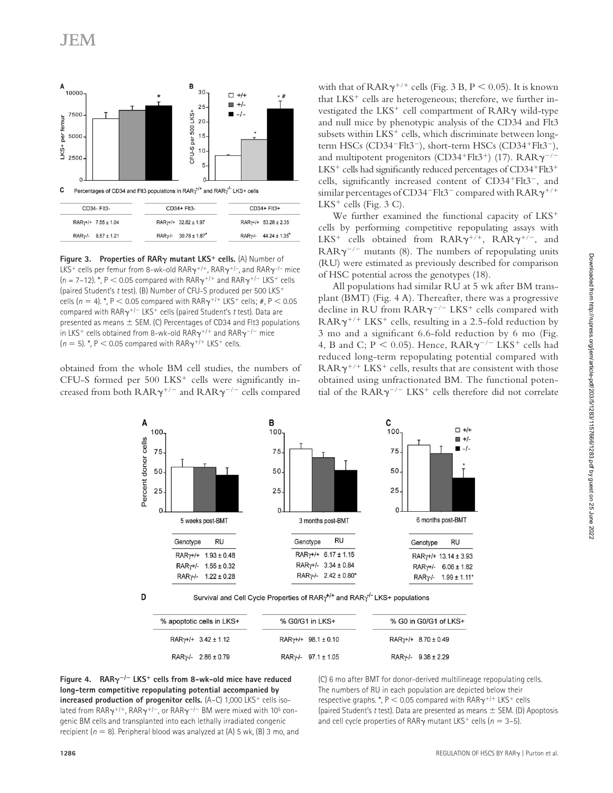

| CD34-FIt3-            | CD34+ Flt3-                          | CD34+ Flt3+                           |
|-----------------------|--------------------------------------|---------------------------------------|
| $RARy+/+$ 7.55 ± 1.04 | RARy+/+ 32.82 ± 1.97                 | $RAR\gamma$ +/+ 53.28 ± 2.35          |
| $RARy-/-$ 8.57 ± 1.21 | RAR $y-/-$ 39.76 ± 1.87 <sup>*</sup> | RARy-/- $44.24 \pm 1.35$ <sup>*</sup> |

**Figure 3. Properties of RAR mutant LKS**<sup>+</sup> **cells.** (A) Number of LKS<sup>+</sup> cells per femur from 8-wk-old RARγ+/<sup>+</sup>, RARγ+/−, and RARγ−/− mice (n = 7–12). \*, P < 0.05 compared with RAR $\gamma^{+/+}$  and RAR $\gamma^{+/-}$  LKS+ cells (paired Student's t test). (B) Number of CFU-S produced per 500 LKS<sup>+</sup> cells ( $n = 4$ ). \*, P < 0.05 compared with RAR $\gamma^{+/+}$  LKS+ cells; #, P < 0.05 compared with RAR $\gamma$ <sup>+/-</sup> LKS<sup>+</sup> cells (paired Student's t test). Data are presented as means  $\pm$  SEM. (C) Percentages of CD34 and Flt3 populations in LKS<sup>+</sup> cells obtained from 8-wk-old RAR $\gamma^{+/+}$  and RAR $\gamma^{-/-}$  mice  $(n = 5)$ . \*, P < 0.05 compared with RAR $\gamma^{+/+}$  LKS+ cells.

obtained from the whole BM cell studies, the numbers of CFU-S formed per  $500$  LKS<sup>+</sup> cells were significantly increased from both RARγ+/<sup>−</sup> and RARγ−/<sup>−</sup> cells compared

with that of  $\text{RAR}\gamma^{+/+}$  cells (Fig. 3 B, P < 0.05). It is known that LKS<sup>+</sup> cells are heterogeneous; therefore, we further investigated the  $LKS^+$  cell compartment of  $RAR\gamma$  wild-type and null mice by phenotypic analysis of the CD34 and Flt3 subsets within  $LKS^+$  cells, which discriminate between longterm HSCs (CD34<sup>−</sup>Flt3<sup>−</sup>), short-term HSCs (CD34<sup>+</sup>Flt3<sup>−</sup>), and multipotent progenitors (CD34<sup>+</sup>Flt3<sup>+</sup>) (17). RARγ<sup>-/-</sup>  $LKS^{+}$  cells had significantly reduced percentages of  $CD34^{+}Flt3^{+}$ cells, significantly increased content of CD34+Flt3<sup>-</sup>, and similar percentages of CD34<sup>−</sup>Flt3<sup>−</sup> compared with RARγ+/<sup>+</sup>  $LKS^+$  cells (Fig. 3 C).

We further examined the functional capacity of LKS<sup>+</sup> cells by performing competitive repopulating assays with LKS<sup>+</sup> cells obtained from  $RAR\gamma^{+/+}$ ,  $RAR\gamma^{+/-}$ , and  $RAR\gamma^{-/-}$  mutants (8). The numbers of repopulating units (RU) were estimated as previously described for comparison of HSC potential across the genotypes (18).

All populations had similar RU at 5 wk after BM transplant (BMT) (Fig. 4 A). Thereafter, there was a progressive decline in RU from RARγ−/<sup>−</sup> LKS<sup>+</sup> cells compared with  $RAR\gamma^{+/+} LKS^{+}$  cells, resulting in a 2.5-fold reduction by 3 mo and a significant 6.6-fold reduction by 6 mo (Fig. 4, B and C; P < 0.05). Hence,  $RAR\gamma^{-/-} LKS^+$  cells had reduced long-term repopulating potential compared with  $RAR\gamma^{+/+} LKS^{+}$  cells, results that are consistent with those obtained using unfractionated BM. The functional potential of the RARγ−/<sup>−</sup> LKS<sup>+</sup> cells therefore did not correlate



| % apoptotic cells in LKS+    | % G0/G1 in LKS+             | % G0 in G0/G1 of LKS+      |
|------------------------------|-----------------------------|----------------------------|
| $RAR\gamma+1+ 3.42 \pm 1.12$ | $RAR\gamma$ +/+ 98.1 ± 0.10 | $RAR\gamma+/-$ 8.70 ± 0.49 |
| $RARy-I - 2.86 \pm 0.79$     | $RAR\gamma$ -/- 97.1 ± 1.05 | $RARy-L$ 9.38 ± 2.29       |

**Figure 4. RAR**−**/**<sup>−</sup> **LKS**<sup>+</sup> **cells from 8-wk-old mice have reduced long-term competitive repopulating potential accompanied by increased production of progenitor cells.** (A–C) 1,000 LKS<sup>+</sup> cells isolated from RARγ+/<sup>+</sup>, RARγ+/<sup>−</sup>, or RARγ−/<sup>−</sup> BM were mixed with 105 congenic BM cells and transplanted into each lethally irradiated congenic recipient ( $n = 8$ ). Peripheral blood was analyzed at (A) 5 wk, (B) 3 mo, and

(C) 6 mo after BMT for donor-derived multilineage repopulating cells. The numbers of RU in each population are depicted below their respective graphs. \*,  $P < 0.05$  compared with RAR $\gamma^{+/+}$  LKS<sup>+</sup> cells (paired Student's t test). Data are presented as means  $\pm$  SEM. (D) Apoptosis and cell cycle properties of RAR $\gamma$  mutant LKS<sup>+</sup> cells ( $n = 3-5$ ).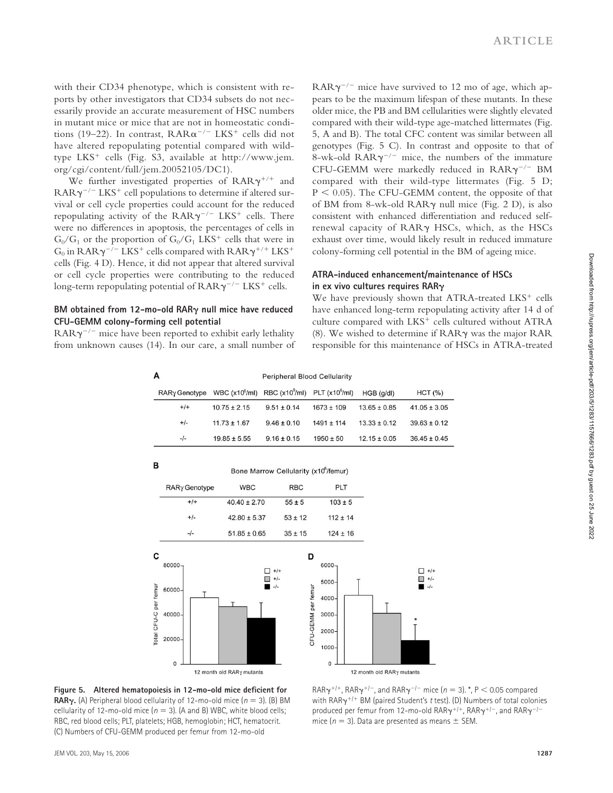with their CD34 phenotype, which is consistent with reports by other investigators that CD34 subsets do not necessarily provide an accurate measurement of HSC numbers in mutant mice or mice that are not in homeostatic conditions (19–22). In contrast,  $RAR\alpha^{-/-} LKS^+$  cells did not have altered repopulating potential compared with wildtype LKS<sup>+</sup> cells (Fig. S3, available at http://www.jem. org/cgi/content/full/jem.20052105/DC1).

We further investigated properties of  $RAR\gamma^{+/+}$  and  $RAR\gamma^{-/-} LKS^{+}$  cell populations to determine if altered survival or cell cycle properties could account for the reduced repopulating activity of the RARγ−/<sup>−</sup> LKS<sup>+</sup> cells. There were no differences in apoptosis, the percentages of cells in  $G_0/G_1$  or the proportion of  $G_0/G_1$  LKS<sup>+</sup> cells that were in  $G_0$  in RAR $\gamma^{-/-}$  LKS<sup>+</sup> cells compared with RAR $\gamma^{+/+}$  LKS<sup>+</sup> cells (Fig. 4 D). Hence, it did not appear that altered survival or cell cycle properties were contributing to the reduced long-term repopulating potential of RARγ−/<sup>−</sup> LKS<sup>+</sup> cells.

#### **BM obtained from 12-mo-old RAR null mice have reduced CFU-GEMM colony-forming cell potential**

 $RAR\gamma^{-/-}$  mice have been reported to exhibit early lethality from unknown causes (14). In our care, a small number of RAR $\gamma$ <sup>-/−</sup> mice have survived to 12 mo of age, which appears to be the maximum lifespan of these mutants. In these older mice, the PB and BM cellularities were slightly elevated compared with their wild-type age-matched littermates (Fig. 5, A and B). The total CFC content was similar between all genotypes (Fig. 5 C). In contrast and opposite to that of 8-wk-old  $RAR\gamma^{-/-}$  mice, the numbers of the immature CFU-GEMM were markedly reduced in RARγ−/<sup>−</sup> BM compared with their wild-type littermates (Fig. 5 D;  $P < 0.05$ ). The CFU-GEMM content, the opposite of that of BM from 8-wk-old RARγ null mice (Fig. 2 D), is also consistent with enhanced differentiation and reduced selfrenewal capacity of RARγ HSCs, which, as the HSCs exhaust over time, would likely result in reduced immature colony-forming cell potential in the BM of ageing mice.

#### **ATRA-induced enhancement/maintenance of HSCs in ex vivo cultures requires RAR**

We have previously shown that ATRA-treated LKS<sup>+</sup> cells have enhanced long-term repopulating activity after 14 d of culture compared with LKS<sup>+</sup> cells cultured without ATRA (8). We wished to determine if RARγ was the major RAR responsible for this maintenance of HSCs in ATRA-treated

| А<br><b>Peripheral Blood Cellularity</b> |               |                                                                                  |                 |                |                  |                  |
|------------------------------------------|---------------|----------------------------------------------------------------------------------|-----------------|----------------|------------------|------------------|
|                                          | RARy Genotype | WBC (x10 <sup>6</sup> /ml) RBC (x10 <sup>9</sup> /ml) PLT (x10 <sup>6</sup> /ml) |                 |                | HGB (g/dl)       | HCT (%)          |
|                                          | $+/+$         | $10.75 \pm 2.15$                                                                 | $9.51 \pm 0.14$ | $1673 \pm 109$ | $13.65 \pm 0.85$ | $41.05 \pm 3.05$ |
|                                          | $+/-$         | $11.73 \pm 1.67$                                                                 | $9.46 \pm 0.10$ | $1491 \pm 114$ | $13.33 \pm 0.12$ | $39.63 \pm 0.12$ |
|                                          | $-/-$         | $19.85 \pm 5.55$                                                                 | $9.16 \pm 0.15$ | $1950 \pm 50$  | $12.15 \pm 0.05$ | $36.45 \pm 0.45$ |

Rone Marrow Collularity (x10<sup>6</sup> fomur)

B

|               |       | <b>DOTIC MATTOW CERTIFIERTY (XTO RETTION)</b> |             |              |
|---------------|-------|-----------------------------------------------|-------------|--------------|
| RARy Genotype |       | <b>WBC</b>                                    | <b>RBC</b>  | PLT          |
|               | $+/-$ | $40.40 \pm 2.70$                              | $55 \pm 5$  | $103 \pm 5$  |
|               | $+/-$ | $42.80 \pm 5.37$                              | $53 \pm 12$ | $112 \pm 14$ |
|               | $-/-$ | $51.85 \pm 0.65$                              | $35 \pm 15$ | $124 \pm 16$ |







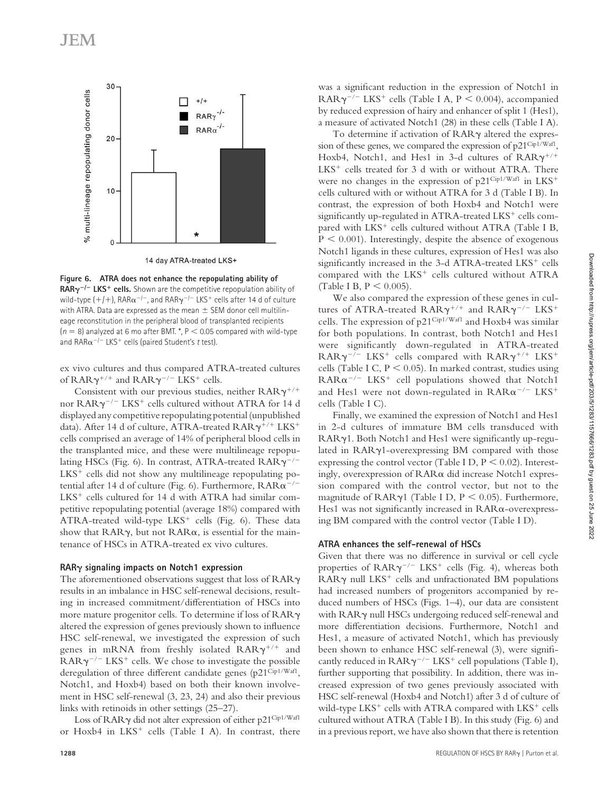

14 day ATRA-treated LKS+

**Figure 6. ATRA does not enhance the repopulating ability of RAR**−**/**<sup>−</sup> **LKS**<sup>+</sup> **cells.** Shown are the competitive repopulation ability of wild-type (+/+), RARα<sup>-/-</sup>, and RARγ<sup>-/-</sup> LKS<sup>+</sup> cells after 14 d of culture with ATRA. Data are expressed as the mean  $\pm$  SEM donor cell multilineage reconstitution in the peripheral blood of transplanted recipients  $(n = 8)$  analyzed at 6 mo after BMT. \*, P < 0.05 compared with wild-type and RARα−/<sup>−</sup> LKS<sup>+</sup> cells (paired Student's t test).

ex vivo cultures and thus compared ATRA-treated cultures of  $RAR\gamma^{+/+}$  and  $RAR\gamma^{-/-} LKS^{+}$  cells.

Consistent with our previous studies, neither  $RAR\gamma^{+/+}$ nor RARγ−/<sup>−</sup> LKS<sup>+</sup> cells cultured without ATRA for 14 d displayed any competitive repopulating potential (unpublished data). After 14 d of culture, ATRA-treated  $RAR\gamma^{+/+} LKS^+$ cells comprised an average of 14% of peripheral blood cells in the transplanted mice, and these were multilineage repopulating HSCs (Fig. 6). In contrast, ATRA-treated  $RAR\gamma^{-/-}$ LKS<sup>+</sup> cells did not show any multilineage repopulating potential after 14 d of culture (Fig. 6). Furthermore,  $RAR\alpha^{-/-}$ LKS<sup>+</sup> cells cultured for 14 d with ATRA had similar competitive repopulating potential (average 18%) compared with ATRA-treated wild-type  $LKS^+$  cells (Fig. 6). These data show that  $RAR\gamma$ , but not  $RAR\alpha$ , is essential for the maintenance of HSCs in ATRA-treated ex vivo cultures.

## **RAR signaling impacts on Notch1 expression**

The aforementioned observations suggest that loss of RARγ results in an imbalance in HSC self-renewal decisions, resulting in increased commitment/differentiation of HSCs into more mature progenitor cells. To determine if loss of RARγ altered the expression of genes previously shown to influence HSC self-renewal, we investigated the expression of such genes in mRNA from freshly isolated RARγ+/<sup>+</sup> and  $RAR\gamma^{-/-} LKS^{+}$  cells. We chose to investigate the possible deregulation of three different candidate genes (p21<sup>Cip1/Waf1</sup>, Notch1, and Hoxb4) based on both their known involvement in HSC self-renewal (3, 23, 24) and also their previous links with retinoids in other settings (25–27).

Loss of RARγ did not alter expression of either p21<sup>Cip1/Waf1</sup> or Hoxb4 in  $LKS^+$  cells (Table I A). In contrast, there was a significant reduction in the expression of Notch1 in RAR $\gamma^{-/-}$  LKS<sup>+</sup> cells (Table I A, P < 0.004), accompanied by reduced expression of hairy and enhancer of split 1 (Hes1), a measure of activated Notch1 (28) in these cells (Table I A).

To determine if activation of RARγ altered the expression of these genes, we compared the expression of p21<sup>Cip1/Wafl</sup>, Hoxb4, Notch1, and Hes1 in 3-d cultures of  $RAR\gamma^{+/+}$  $LKS^{+}$  cells treated for 3 d with or without ATRA. There were no changes in the expression of  $p21^{\text{Cip1/Waf1}}$  in LKS<sup>+</sup> cells cultured with or without ATRA for 3 d (Table I B). In contrast, the expression of both Hoxb4 and Notch1 were significantly up-regulated in ATRA-treated  $LKS^+$  cells compared with LKS<sup>+</sup> cells cultured without ATRA (Table I B,  $P \leq 0.001$ ). Interestingly, despite the absence of exogenous Notch1 ligands in these cultures, expression of Hes1 was also significantly increased in the 3-d ATRA-treated LKS<sup>+</sup> cells compared with the LKS<sup>+</sup> cells cultured without ATRA (Table I B,  $P < 0.005$ ).

We also compared the expression of these genes in cultures of ATRA-treated RAR $\gamma^{+/+}$  and RAR $\gamma^{-/-}$  LKS<sup>+</sup> cells. The expression of  $p21^{\text{Cip1/Waf1}}$  and Hoxb4 was similar for both populations. In contrast, both Notch1 and Hes1 were significantly down-regulated in ATRA-treated RAR $\gamma^{-/-}$  LKS<sup>+</sup> cells compared with RAR $\gamma^{+/+}$  LKS<sup>+</sup> cells (Table I C,  $P < 0.05$ ). In marked contrast, studies using  $RAR\alpha^{-/-}$  LKS<sup>+</sup> cell populations showed that Notch1 and Hes1 were not down-regulated in RARα<sup>-/-</sup> LKS<sup>+</sup> cells (Table I C).

Finally, we examined the expression of Notch1 and Hes1 in 2-d cultures of immature BM cells transduced with RARγ1. Both Notch1 and Hes1 were significantly up-regulated in RARγ1-overexpressing BM compared with those expressing the control vector (Table I D,  $P \le 0.02$ ). Interestingly, overexpression of RARα did increase Notch1 expression compared with the control vector, but not to the magnitude of  $\text{RARy1}$  (Table I D, P < 0.05). Furthermore, Hes1 was not significantly increased in  $RAR\alpha$ -overexpressing BM compared with the control vector (Table I D).

## **ATRA enhances the self-renewal of HSCs**

Given that there was no difference in survival or cell cycle properties of  $RAR\gamma^{-/-} LKS^+$  cells (Fig. 4), whereas both RARγ null LKS<sup>+</sup> cells and unfractionated BM populations had increased numbers of progenitors accompanied by reduced numbers of HSCs (Figs. 1–4), our data are consistent with RARγ null HSCs undergoing reduced self-renewal and more differentiation decisions. Furthermore, Notch1 and Hes1, a measure of activated Notch1, which has previously been shown to enhance HSC self-renewal (3), were significantly reduced in  $RAR\gamma^{-/-} LKS^+$  cell populations (Table I), further supporting that possibility. In addition, there was increased expression of two genes previously associated with HSC self-renewal (Hoxb4 and Notch1) after 3 d of culture of wild-type  $LKS^+$  cells with ATRA compared with  $LKS^+$  cells cultured without ATRA (Table I B). In this study (Fig. 6) and in a previous report, we have also shown that there is retention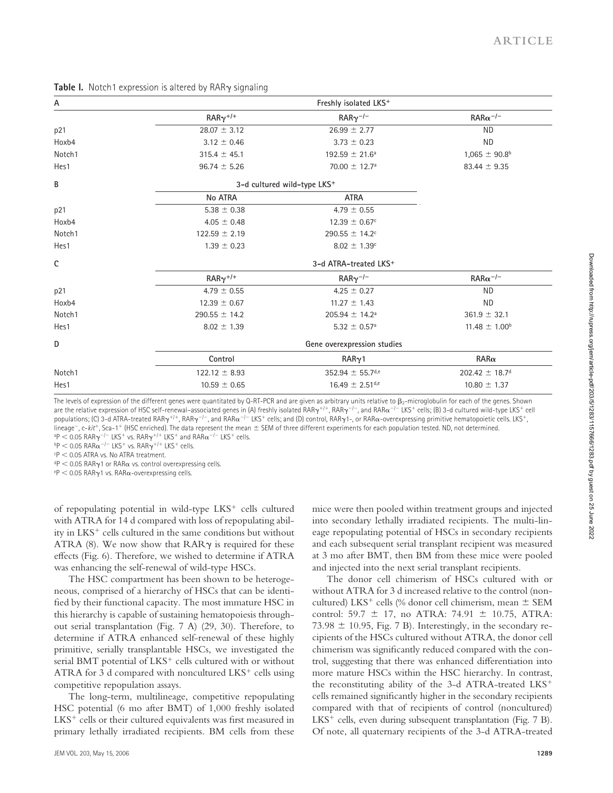| А      | Freshly isolated LKS+       |                                  |                                |  |  |
|--------|-----------------------------|----------------------------------|--------------------------------|--|--|
|        | $RAR\gamma^{+/+}$           | $RAR\gamma^{-/-}$                | $RAR\alpha^{-/-}$              |  |  |
| p21    | $28.07 \pm 3.12$            | $26.99 \pm 2.77$                 | ND.                            |  |  |
| Hoxb4  | $3.12 \pm 0.46$             | $3.73 \pm 0.23$                  | ND.                            |  |  |
| Notch1 | $315.4 \pm 45.1$            | $192.59 \pm 21.6^a$              | $1,065 \pm 90.8^b$             |  |  |
| Hes1   | $96.74 \pm 5.26$            | 70.00 $\pm$ 12.7 <sup>a</sup>    | $83.44 \pm 9.35$               |  |  |
| B      | 3-d cultured wild-type LKS+ |                                  |                                |  |  |
|        | No ATRA                     | <b>ATRA</b>                      |                                |  |  |
| p21    | $5.38 \pm 0.38$             | $4.79 \pm 0.55$                  |                                |  |  |
| Hoxb4  | $4.05 \pm 0.48$             | $12.39 \pm 0.67$ <sup>c</sup>    |                                |  |  |
| Notch1 | $122.59 \pm 2.19$           | 290.55 $\pm$ 14.2°               |                                |  |  |
| Hes1   | $1.39 \pm 0.23$             | $8.02 \pm 1.39^c$                |                                |  |  |
| C      |                             |                                  |                                |  |  |
|        | $RAR\gamma^{+/+}$           | $RAR\gamma^{-/-}$                | $RAR\alpha^{-/-}$              |  |  |
| p21    | $4.79 \pm 0.55$             | $4.25 \pm 0.27$                  | <b>ND</b>                      |  |  |
| Hoxb4  | $12.39 \pm 0.67$            | $11.27 \pm 1.43$                 | ND.                            |  |  |
| Notch1 | $290.55 \pm 14.2$           | 205.94 $\pm$ 14.2 <sup>a</sup>   | $361.9 \pm 32.1$               |  |  |
| Hes1   | $8.02 \pm 1.39$             | 5.32 $\pm$ 0.57 <sup>a</sup>     | $11.48 \pm 1.00^b$             |  |  |
| D      |                             |                                  |                                |  |  |
|        | Control                     | $RAR\gamma1$                     | $RAR\alpha$                    |  |  |
| Notch1 | $122.12 \pm 8.93$           | 352.94 $\pm$ 55.7 <sup>d,e</sup> | 202.42 $\pm$ 18.7 <sup>d</sup> |  |  |
| Hes1   | $10.59 \pm 0.65$            | $16.49 \pm 2.51^{\text{d,e}}$    | $10.80 \pm 1.37$               |  |  |

#### **Table I.** Notch1 expression is altered by RARγ signaling

The levels of expression of the different genes were quantitated by Q-RT-PCR and are given as arbitrary units relative to  $\beta_2$ -microglobulin for each of the genes. Shown are the relative expression of HSC self-renewal–associated genes in (A) freshly isolated RARγ+/+, RARγ<sup>-/-</sup>, and RARα<sup>-/-</sup> LKS+ cells; (B) 3-d cultured wild-type LKS+ cell populations; (C) 3-d ATRA-treated RARγ<sup>+/+</sup>, RARγ<sup>-/-</sup>, and RARα<sup>-/-</sup> LKS<sup>+</sup> cells; and (D) control, RARγ1-, or RARα-overexpressing primitive hematopoietic cells. LKS<sup>+</sup>, lineage<sup>−</sup>, c-kit<sup>+</sup>, Sca-1<sup>+</sup> (HSC enriched). The data represent the mean ± SEM of three different experiments for each population tested. ND, not determined.

 $\alpha^3 P < 0.05$  RAR $\gamma^{-/-}$  LKS<sup>+</sup> vs. RAR $\gamma^{+/+}$  LKS<sup>+</sup> and RAR $\alpha^{-/-}$  LKS<sup>+</sup> cells. bP < 0.05 RARα−/<sup>−</sup> LKS<sup>+</sup> vs. RARγ+/<sup>+</sup> LKS<sup>+</sup> cells.

c P < 0.05 ATRA vs. No ATRA treatment.

 $\Phi$  < 0.05 RAR $\gamma$ 1 or RAR $\alpha$  vs. control overexpressing cells.

e P < 0.05 RARγ1 vs. RARα-overexpressing cells.

of repopulating potential in wild-type LKS<sup>+</sup> cells cultured with ATRA for 14 d compared with loss of repopulating ability in LKS<sup>+</sup> cells cultured in the same conditions but without ATRA (8). We now show that  $RAR\gamma$  is required for these effects (Fig. 6). Therefore, we wished to determine if ATRA was enhancing the self-renewal of wild-type HSCs.

The HSC compartment has been shown to be heterogeneous, comprised of a hierarchy of HSCs that can be identified by their functional capacity. The most immature HSC in this hierarchy is capable of sustaining hematopoiesis throughout serial transplantation (Fig. 7 A) (29, 30). Therefore, to determine if ATRA enhanced self-renewal of these highly primitive, serially transplantable HSCs, we investigated the serial BMT potential of LKS<sup>+</sup> cells cultured with or without ATRA for 3 d compared with noncultured  $LKS^+$  cells using competitive repopulation assays.

The long-term, multilineage, competitive repopulating HSC potential (6 mo after BMT) of 1,000 freshly isolated  $LKS^{+}$  cells or their cultured equivalents was first measured in primary lethally irradiated recipients. BM cells from these mice were then pooled within treatment groups and injected into secondary lethally irradiated recipients. The multi-lineage repopulating potential of HSCs in secondary recipients and each subsequent serial transplant recipient was measured at 3 mo after BMT, then BM from these mice were pooled and injected into the next serial transplant recipients.

The donor cell chimerism of HSCs cultured with or without ATRA for 3 d increased relative to the control (noncultured) LKS<sup>+</sup> cells (% donor cell chimerism, mean  $\pm$  SEM control: 59.7  $\pm$  17, no ATRA: 74.91  $\pm$  10.75, ATRA: 73.98  $\pm$  10.95, Fig. 7 B). Interestingly, in the secondary recipients of the HSCs cultured without ATRA, the donor cell chimerism was significantly reduced compared with the control, suggesting that there was enhanced differentiation into more mature HSCs within the HSC hierarchy. In contrast, the reconstituting ability of the 3-d ATRA-treated LKS<sup>+</sup> cells remained significantly higher in the secondary recipients compared with that of recipients of control (noncultured)  $LKS^{+}$  cells, even during subsequent transplantation (Fig. 7 B). Of note, all quaternary recipients of the 3-d ATRA-treated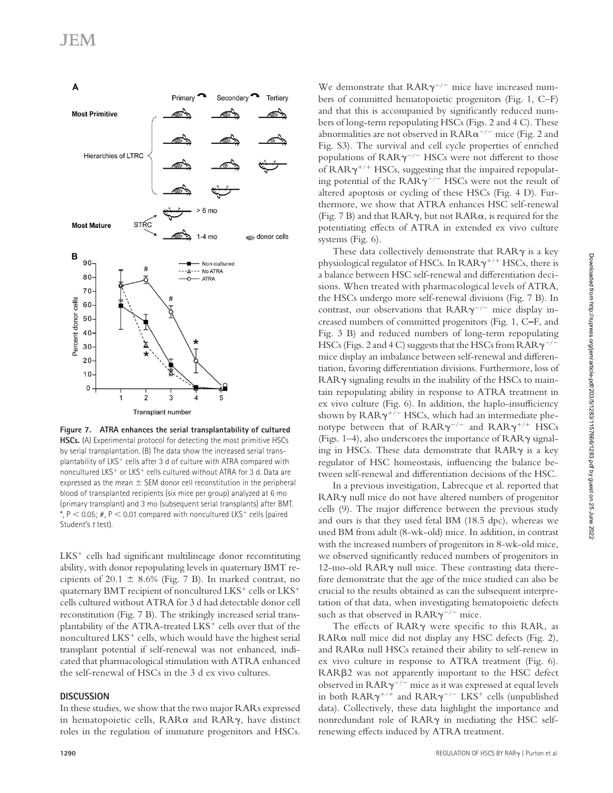# JEM

A

Primary Secondary Tertiary **Most Primitive** Hierarchies of LTRC 6 mo **Most Mature STRC** ca donor cells  $1-4$  mo В  $90<sub>0</sub>$ - Non-cultured  $---A---NoATRA$  $80<sub>0</sub>$ - ATRA 70 Percent donor cells 60 50 40 30 20 10 0  $\overline{2}$ 3 Transplant number

**Figure 7. ATRA enhances the serial transplantability of cultured HSCs.** (A) Experimental protocol for detecting the most primitive HSCs by serial transplantation. (B) The data show the increased serial transplantability of LKS<sup>+</sup> cells after 3 d of culture with ATRA compared with noncultured LKS<sup>+</sup> or LKS<sup>+</sup> cells cultured without ATRA for 3 d. Data are expressed as the mean  $\pm$  SEM donor cell reconstitution in the peripheral blood of transplanted recipients (six mice per group) analyzed at 6 mo (primary transplant) and 3 mo (subsequent serial transplants) after BMT.  $^*$ , P  $<$  0.05; #, P  $<$  0.01 compared with noncultured LKS<sup>+</sup> cells (paired Student's t test).

 $LKS^{+}$  cells had significant multilineage donor reconstituting ability, with donor repopulating levels in quaternary BMT recipients of 20.1  $\pm$  8.6% (Fig. 7 B). In marked contrast, no quaternary BMT recipient of noncultured LKS<sup>+</sup> cells or LKS<sup>+</sup> cells cultured without ATRA for 3 d had detectable donor cell reconstitution (Fig. 7 B). The strikingly increased serial transplantability of the ATRA-treated LKS<sup>+</sup> cells over that of the noncultured LKS<sup>+</sup> cells, which would have the highest serial transplant potential if self-renewal was not enhanced, indicated that pharmacological stimulation with ATRA enhanced the self-renewal of HSCs in the 3 d ex vivo cultures.

## **DISCUSSION**

In these studies, we show that the two major RARs expressed in hematopoietic cells, RARα and RARγ, have distinct roles in the regulation of immature progenitors and HSCs. We demonstrate that  $RAR\gamma^{-/-}$  mice have increased numbers of committed hematopoietic progenitors (Fig. 1, C–F) and that this is accompanied by significantly reduced numbers of long-term repopulating HSCs (Figs. 2 and 4 C). These abnormalities are not observed in  $RAR\alpha^{-/-}$  mice (Fig. 2 and Fig. S3). The survival and cell cycle properties of enriched populations of  $RAR\gamma^{-/-}$  HSCs were not different to those of RARγ+/<sup>+</sup> HSCs, suggesting that the impaired repopulating potential of the RAR $\gamma$ <sup>-/−</sup> HSCs were not the result of altered apoptosis or cycling of these HSCs (Fig. 4 D). Furthermore, we show that ATRA enhances HSC self-renewal (Fig. 7 B) and that  $RAR\gamma$ , but not  $RAR\alpha$ , is required for the potentiating effects of ATRA in extended ex vivo culture systems (Fig. 6).

These data collectively demonstrate that RARγ is a key physiological regulator of HSCs. In  $RAR\gamma^{+/+}$  HSCs, there is a balance between HSC self-renewal and differentiation decisions. When treated with pharmacological levels of ATRA, the HSCs undergo more self-renewal divisions (Fig. 7 B). In contrast, our observations that  $RAR\gamma^{-/-}$  mice display increased numbers of committed progenitors (Fig. 1, C**–**F, and Fig. 3 B) and reduced numbers of long-term repopulating HSCs (Figs. 2 and 4 C) suggests that the HSCs from  $RAR\gamma^{-/-}$ mice display an imbalance between self-renewal and differentiation, favoring differentiation divisions. Furthermore, loss of RARγ signaling results in the inability of the HSCs to maintain repopulating ability in response to ATRA treatment in ex vivo culture  $(Fig. 6)$ . In addition, the haplo-insufficiency shown by  $RAR\gamma^{+/-}$  HSCs, which had an intermediate phenotype between that of RARγ−/<sup>−</sup> and RARγ+/<sup>+</sup> HSCs (Figs. 1–4), also underscores the importance of RARγ signaling in HSCs. These data demonstrate that RARγ is a key regulator of HSC homeostasis, influencing the balance between self-renewal and differentiation decisions of the HSC.

In a previous investigation, Labrecque et al. reported that RARγ null mice do not have altered numbers of progenitor cells (9). The major difference between the previous study and ours is that they used fetal BM (18.5 dpc), whereas we used BM from adult (8-wk-old) mice. In addition, in contrast with the increased numbers of progenitors in 8-wk-old mice, we observed significantly reduced numbers of progenitors in 12-mo-old RARγ null mice. These contrasting data therefore demonstrate that the age of the mice studied can also be crucial to the results obtained as can the subsequent interpretation of that data, when investigating hematopoietic defects such as that observed in  $RAR\gamma^{-/-}$  mice.

The effects of RARγ were specific to this RAR, as RARα null mice did not display any HSC defects (Fig. 2), and RARα null HSCs retained their ability to self-renew in ex vivo culture in response to ATRA treatment (Fig. 6). RARβ2 was not apparently important to the HSC defect observed in RARγ−/<sup>−</sup> mice as it was expressed at equal levels in both  $RAR\gamma^{+/+}$  and  $RAR\gamma^{-/-}$  LKS<sup>+</sup> cells (unpublished data). Collectively, these data highlight the importance and nonredundant role of RARγ in mediating the HSC selfrenewing effects induced by ATRA treatment.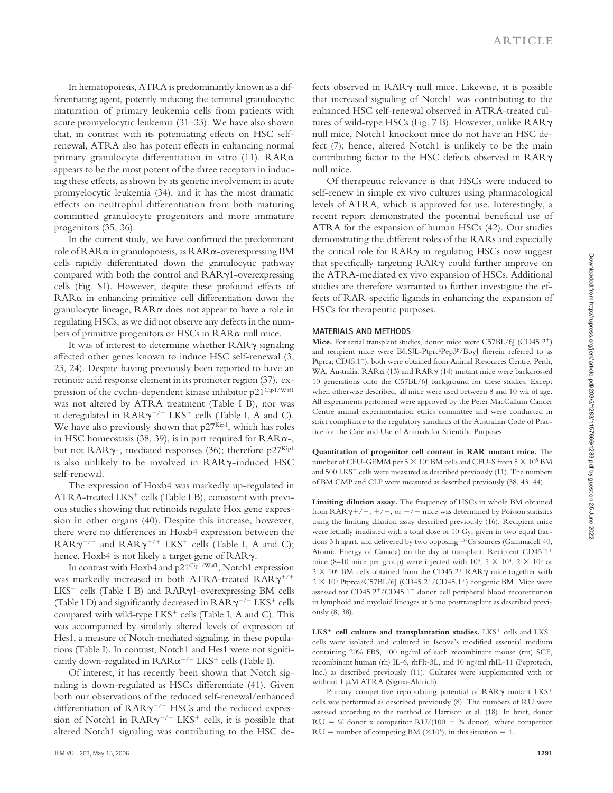In hematopoiesis, ATRA is predominantly known as a differentiating agent, potently inducing the terminal granulocytic maturation of primary leukemia cells from patients with acute promyelocytic leukemia (31–33). We have also shown that, in contrast with its potentiating effects on HSC selfrenewal, ATRA also has potent effects in enhancing normal primary granulocyte differentiation in vitro (11).  $\text{RAR}\alpha$ appears to be the most potent of the three receptors in inducing these effects, as shown by its genetic involvement in acute promyelocytic leukemia (34), and it has the most dramatic effects on neutrophil differentiation from both maturing committed granulocyte progenitors and more immature progenitors (35, 36).

In the current study, we have confirmed the predominant role of RARα in granulopoiesis, as RARα-overexpressing BM cells rapidly differentiated down the granulocytic pathway compared with both the control and RARγ1-overexpressing cells (Fig. S1). However, despite these profound effects of  $RAR\alpha$  in enhancing primitive cell differentiation down the granulocyte lineage, RARα does not appear to have a role in regulating HSCs, as we did not observe any defects in the numbers of primitive progenitors or HSCs in RARα null mice.

It was of interest to determine whether RARγ signaling affected other genes known to induce HSC self-renewal (3, 23, 24). Despite having previously been reported to have an retinoic acid response element in its promoter region (37), expression of the cyclin-dependent kinase inhibitor p21<sup>Cip1/Waf1</sup> was not altered by ATRA treatment (Table I B), nor was it deregulated in  $RAR\gamma^{-/-} LKS^+$  cells (Table I, A and C). We have also previously shown that  $p27^{Kip1}$ , which has roles in HSC homeostasis (38, 39), is in part required for  $RAR\alpha$ -, but not RAR $\gamma$ -, mediated responses (36); therefore p27Kip1 is also unlikely to be involved in RARγ-induced HSC self-renewal.

The expression of Hoxb4 was markedly up-regulated in ATRA-treated LKS<sup>+</sup> cells (Table I B), consistent with previous studies showing that retinoids regulate Hox gene expression in other organs (40). Despite this increase, however, there were no differences in Hoxb4 expression between the RAR $\gamma^{-/-}$  and RAR $\gamma^{+/+}$  LKS<sup>+</sup> cells (Table I, A and C); hence, Hoxb4 is not likely a target gene of RARγ.

In contrast with Hoxb4 and p21<sup>Cip1/Waf1</sup>, Notch1 expression was markedly increased in both ATRA-treated RARγ<sup>+/+</sup>  $LKS^+$  cells (Table I B) and  $RAR\gamma$ 1-overexpressing BM cells (Table I D) and significantly decreased in  $RAR\gamma^{-/-} LKS^{+}$  cells compared with wild-type  $LKS^+$  cells (Table I, A and C). This was accompanied by similarly altered levels of expression of Hes1, a measure of Notch-mediated signaling, in these populations (Table I). In contrast, Notch1 and Hes1 were not significantly down-regulated in  $RAR\alpha^{-/-} LKS^+$  cells (Table I).

Of interest, it has recently been shown that Notch signaling is down-regulated as HSCs differentiate (41). Given both our observations of the reduced self-renewal/enhanced differentiation of RARγ<sup>-/−</sup> HSCs and the reduced expression of Notch1 in  $RAR\gamma^{-/-} LKS^+$  cells, it is possible that altered Notch1 signaling was contributing to the HSC de-

fects observed in RARγ null mice. Likewise, it is possible that increased signaling of Notch1 was contributing to the enhanced HSC self-renewal observed in ATRA-treated cultures of wild-type HSCs (Fig. 7 B). However, unlike RARγ null mice, Notch1 knockout mice do not have an HSC defect (7); hence, altered Notch1 is unlikely to be the main contributing factor to the HSC defects observed in RARγ null mice.

Of therapeutic relevance is that HSCs were induced to self-renew in simple ex vivo cultures using pharmacological levels of ATRA, which is approved for use. Interestingly, a recent report demonstrated the potential beneficial use of ATRA for the expansion of human HSCs (42). Our studies demonstrating the different roles of the RARs and especially the critical role for RARγ in regulating HSCs now suggest that specifically targeting RARγ could further improve on the ATRA-mediated ex vivo expansion of HSCs. Additional studies are therefore warranted to further investigate the effects of RAR-specific ligands in enhancing the expansion of HSCs for therapeutic purposes.

#### **MATERIALS AND METHODS**

Mice. For serial transplant studies, donor mice were C57BL/6J (CD45.2<sup>+</sup>) and recipient mice were B6.SJL-Ptprc<sup>a</sup>Pep3<sup>b</sup>/BoyJ (herein referred to as Ptprca; CD45.1<sup>+</sup>), both were obtained from Animal Resources Centre, Perth, WA, Australia. RARα (13) and RARγ (14) mutant mice were backcrossed 10 generations onto the C57BL/6J background for these studies. Except when otherwise described, all mice were used between 8 and 10 wk of age. All experiments performed were approved by the Peter MacCallum Cancer Centre animal experimentation ethics committee and were conducted in strict compliance to the regulatory standards of the Australian Code of Practice for the Care and Use of Animals for Scientific Purposes.

**Quantitation of progenitor cell content in RAR mutant mice.** The number of CFU-GEMM per  $5 \times 10^4$  BM cells and CFU-S from  $5 \times 10^5$  BM and 500 LKS<sup>+</sup> cells were measured as described previously (11). The numbers of BM CMP and CLP were measured as described previously (38, 43, 44).

**Limiting dilution assay.** The frequency of HSCs in whole BM obtained from  $RAR\gamma$ +/+, +/-, or -/- mice was determined by Poisson statistics using the limiting dilution assay described previously (16). Recipient mice were lethally irradiated with a total dose of 10 Gy, given in two equal fractions 3 h apart, and delivered by two opposing 137Cs sources (Gammacell 40, Atomic Energy of Canada) on the day of transplant. Recipient CD45.1<sup>+</sup> mice (8–10 mice per group) were injected with  $10^4$ ,  $5 \times 10^4$ ,  $2 \times 10^5$  or  $2 \times 10^6$  BM cells obtained from the CD45.2<sup>+</sup> RAR $\gamma$  mice together with  $2 \times 10^5$  Ptprca/C57BL/6J (CD45.2<sup>+</sup>/CD45.1<sup>+</sup>) congenic BM. Mice were assessed for CD45.2<sup>+</sup>/CD45.1<sup>−</sup> donor cell peripheral blood reconstitution in lymphoid and myeloid lineages at 6 mo posttransplant as described previously (8, 38).

**LKS**<sup>+</sup> **cell culture and transplantation studies.** LKS<sup>+</sup> cells and LKS<sup>−</sup> cells were isolated and cultured in Iscove's modified essential medium containing 20% FBS, 100 ng/ml of each recombinant mouse (rm) SCF, recombinant human (rh) IL-6, rhFlt-3L, and 10 ng/ml rhIL-11 (Peprotech, Inc.) as described previously (11). Cultures were supplemented with or without 1 μM ATRA (Sigma-Aldrich).

Primary competitive repopulating potential of RARγ mutant LKS<sup>+</sup> cells was performed as described previously (8). The numbers of RU were assessed according to the method of Harrison et al. (18). In brief, donor  $RU = %$  donor x competitor  $RU/(100 - %$  donor), where competitor  $RU =$  number of competing BM ( $×10<sup>5</sup>$ ), in this situation = 1.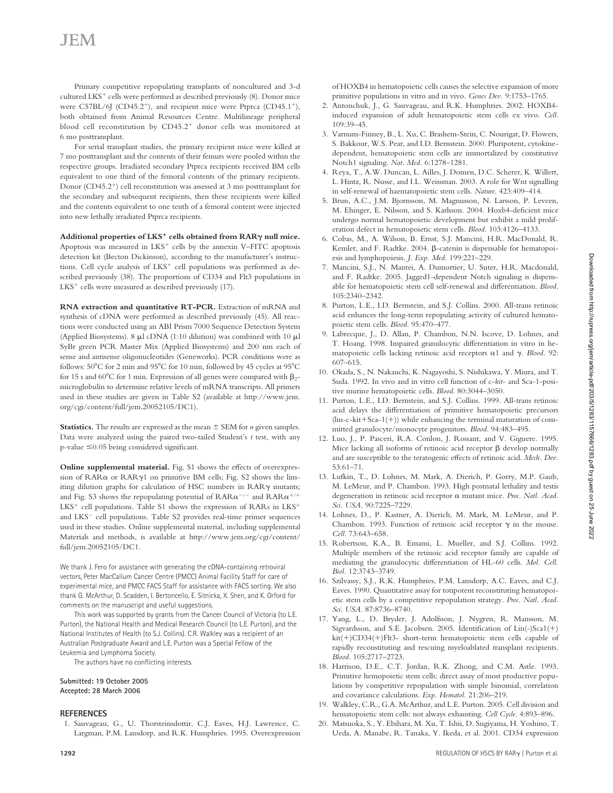# **JEM**

Primary competitive repopulating transplants of noncultured and 3-d cultured LKS<sup>+</sup> cells were performed as described previously (8). Donor mice were C57BL/6J (CD45.2<sup>+</sup>), and recipient mice were Ptprca (CD45.1<sup>+</sup>), both obtained from Animal Resources Centre. Multilineage peripheral blood cell reconstitution by CD45.2<sup>+</sup> donor cells was monitored at 6 mo posttransplant.

For serial transplant studies, the primary recipient mice were killed at 7 mo posttransplant and the contents of their femurs were pooled within the respective groups. Irradiated secondary Ptprca recipients received BM cells equivalent to one third of the femoral contents of the primary recipients. Donor (CD45.2<sup>+</sup>) cell reconstitution was assessed at 3 mo posttransplant for the secondary and subsequent recipients, then these recipients were killed and the contents equivalent to one tenth of a femoral content were injected into new lethally irradiated Ptprca recipients.

**Additional properties of LKS**<sup>+</sup> **cells obtained from RAR null mice.**

Apoptosis was measured in LKS<sup>+</sup> cells by the annexin V-FITC apoptosis detection kit (Becton Dickinson), according to the manufacturer's instructions. Cell cycle analysis of LKS<sup>+</sup> cell populations was performed as described previously (38). The proportions of CD34 and Flt3 populations in LKS<sup>+</sup> cells were measured as described previously (17).

**RNA extraction and quantitative RT-PCR.** Extraction of mRNA and synthesis of cDNA were performed as described previously (45). All reactions were conducted using an ABI Prism 7000 Sequence Detection System (Applied Biosystems). 8 μl cDNA (1:10 dilution) was combined with 10 μl SyBr green PCR Master Mix (Applied Biosystems) and 200 nm each of sense and antisense oligonucleotides (Geneworks). PCR conditions were as follows: 50°C for 2 min and 95°C for 10 min, followed by 45 cycles at 95°C for 15 s and 60°C for 1 min. Expression of all genes were compared with  $\beta_2$ microglobulin to determine relative levels of mRNA transcripts. All primers used in these studies are given in Table S2 (available at http://www.jem. org/cgi/content/full/jem.20052105/DC1).

**Statistics.** The results are expressed as the mean  $\pm$  SEM for *n* given samples. Data were analyzed using the paired two-tailed Student's *t* test, with any  $p$ -value  $\leq$  0.05 being considered significant.

Online supplemental material. Fig. S1 shows the effects of overexpression of RARα or RARγ1 on primitive BM cells; Fig. S2 shows the limiting dilution graphs for calculation of HSC numbers in RARγ mutants; and Fig. S3 shows the repopulating potential of  $RAR\alpha^{-/-}$  and  $RAR\alpha^{+/+}$ LKS<sup>+</sup> cell populations. Table S1 shows the expression of RARs in LKS<sup>+</sup> and LKS<sup>−</sup> cell populations. Table S2 provides real-time primer sequences used in these studies. Online supplemental material, including supplemental Materials and methods, is available at http://www.jem.org/cgi/content/ full/jem.20052105/DC1.

We thank J. Fero for assistance with generating the cDNA-containing retroviral vectors, Peter MacCallum Cancer Centre (PMCC) Animal Facility Staff for care of experimental mice, and PMCC FACS Staff for assistance with FACS sorting. We also thank G. McArthur, D. Scadden, I. Bertoncello, E. Sitnicka, X. Shen, and K. Orford for comments on the manuscript and useful suggestions.

This work was supported by grants from the Cancer Council of Victoria (to L.E. Purton), the National Health and Medical Research Council (to L.E. Purton), and the National Institutes of Health (to S.J. Collins). C.R. Walkley was a recipient of an Australian Postgraduate Award and L.E. Purton was a Special Fellow of the Leukemia and Lymphoma Society.

The authors have no conflicting interests.

#### **Submitted: 19 October 2005 Accepted: 28 March 2006**

#### **R E F E R E N C E S**

 1. Sauvageau, G., U. Thorsteinsdottir, C.J. Eaves, H.J. Lawrence, C. Largman, P.M. Lansdorp, and R.K. Humphries. 1995. Overexpression of HOXB4 in hematopoietic cells causes the selective expansion of more primitive populations in vitro and in vivo. *Genes Dev.* 9:1753–1765.

- 2. Antonchuk, J., G. Sauvageau, and R.K. Humphries. 2002. HOXB4 induced expansion of adult hematopoietic stem cells ex vivo. *Cell*. 109:39–45.
- 3. Varnum-Finney, B., L. Xu, C. Brashem-Stein, C. Nourigat, D. Flowers, S. Bakkour, W.S. Pear, and I.D. Bernstein. 2000. Pluripotent, cytokinedependent, hematopoietic stem cells are immortalized by constitutive Notch1 signaling. *Nat. Med.* 6:1278–1281.
- 4. Reya, T., A.W. Duncan, L. Ailles, J. Domen, D.C. Scherer, K. Willert, L. Hintz, R. Nusse, and I.L. Weissman. 2003. A role for Wnt signalling in self-renewal of haematopoietic stem cells. *Nature*. 423:409–414.
- 5. Brun, A.C., J.M. Bjornsson, M. Magnusson, N. Larsson, P. Leveen, M. Ehinger, E. Nilsson, and S. Karlsson. 2004. Hoxb4-deficient mice undergo normal hematopoietic development but exhibit a mild proliferation defect in hematopoietic stem cells. *Blood*. 103:4126–4133.
- 6. Cobas, M., A. Wilson, B. Ernst, S.J. Mancini, H.R. MacDonald, R. Kemler, and F. Radtke. 2004. β-catenin is dispensable for hematopoiesis and lymphopoiesis. *J. Exp. Med.* 199:221–229.
- 7. Mancini, S.J., N. Mantei, A. Dumortier, U. Suter, H.R. Macdonald, and F. Radtke. 2005. Jagged1-dependent Notch signaling is dispensable for hematopoietic stem cell self-renewal and differentiation. *Blood*. 105:2340–2342.
- 8. Purton, L.E., I.D. Bernstein, and S.J. Collins. 2000. All-trans retinoic acid enhances the long-term repopulating activity of cultured hematopoietic stem cells. *Blood*. 95:470–477.
- 9. Labrecque, J., D. Allan, P. Chambon, N.N. Iscove, D. Lohnes, and T. Hoang. 1998. Impaired granulocytic differentiation in vitro in hematopoietic cells lacking retinoic acid receptors α1 and γ. *Blood*. 92: 607–615.
- 10. Okada, S., N. Nakauchi, K. Nagayoshi, S. Nishikawa, Y. Miura, and T. Suda. 1992. In vivo and in vitro cell function of c-*kit*- and Sca-1-positive murine hematopoietic cells. *Blood*. 80:3044–3050.
- 11. Purton, L.E., I.D. Bernstein, and S.J. Collins. 1999. All-trans retinoic acid delays the differentiation of primitive hematopoietic precursors  $(ln-c-kit+Sca-1(+)$  while enhancing the terminal maturation of committed granulocyte/monocyte progenitors. *Blood*. 94:483–495.
- 12. Luo, J., P. Pasceri, R.A. Conlon, J. Rossant, and V. Giguere. 1995. Mice lacking all isoforms of retinoic acid receptor  $β$  develop normally and are susceptible to the teratogenic effects of retinoic acid. Mech. Dev. 53:61–71.
- 13. Lufkin, T., D. Lohnes, M. Mark, A. Dierich, P. Gorry, M.P. Gaub, M. LeMeur, and P. Chambon. 1993. High postnatal lethality and testis degeneration in retinoic acid receptor α mutant mice. *Proc. Natl. Acad. Sci. USA*. 90:7225–7229.
- 14. Lohnes, D., P. Kastner, A. Dierich, M. Mark, M. LeMeur, and P. Chambon. 1993. Function of retinoic acid receptor  $\gamma$  in the mouse. *Cell*. 73:643–658.
- 15. Robertson, K.A., B. Emami, L. Mueller, and S.J. Collins. 1992. Multiple members of the retinoic acid receptor family are capable of mediating the granulocytic differentiation of HL-60 cells. *Mol. Cell. Biol.* 12:3743–3749.
- 16. Szilvassy, S.J., R.K. Humphries, P.M. Lansdorp, A.C. Eaves, and C.J. Eaves. 1990. Quantitative assay for totipotent reconstituting hematopoietic stem cells by a competitive repopulation strategy. *Proc. Natl. Acad. Sci. USA*. 87:8736–8740.
- 17. Yang, L., D. Bryder, J. Adolfsson, J. Nygren, R. Mansson, M. Sigvardsson, and S.E. Jacobsen. 2005. Identification of  $Lin(\text{-})Sca1(\text{+)}$ kit(+)CD34(+)Flt3- short-term hematopoietic stem cells capable of rapidly reconstituting and rescuing myeloablated transplant recipients. *Blood*. 105:2717–2723.
- 18. Harrison, D.E., C.T. Jordan, R.K. Zhong, and C.M. Astle. 1993. Primitive hemopoietic stem cells: direct assay of most productive populations by competitive repopulation with simple binomial, correlation and covariance calculations. *Exp. Hematol.* 21:206–219.
- 19. Walkley, C.R., G.A. McArthur, and L.E. Purton. 2005. Cell division and hematopoietic stem cells: not always exhausting. *Cell Cycle*. 4:893–896.
- 20. Matsuoka, S., Y. Ebihara, M. Xu, T. Ishii, D. Sugiyama, H. Yoshino, T. Ueda, A. Manabe, R. Tanaka, Y. Ikeda, et al. 2001. CD34 expression